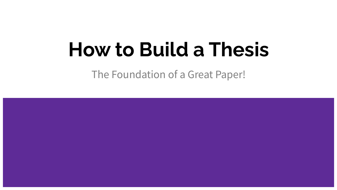## **How to Build a Thesis**

The Foundation of a Great Paper!

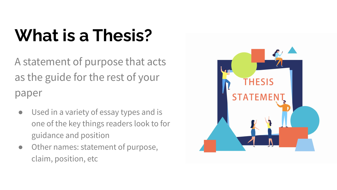### **What is a Thesis?**

A statement of purpose that acts as the guide for the rest of your paper

- Used in a variety of essay types and is one of the key things readers look to for guidance and position
- Other names: statement of purpose, claim, position, etc

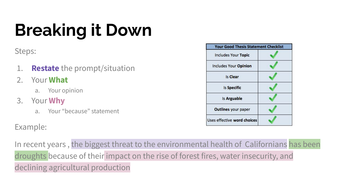# **Breaking it Down**

Steps:

- 1. **Restate** the prompt/situation
- 2. Your **What**
	- a. Your opinion
- 3. Your **Why**
	- a. Your "because" statement

Example:

In recent years , the biggest threat to the environmental health of Californians has been droughts because of their impact on the rise of forest fires, water insecurity, and declining agricultural production

| <b>Your Good Thesis Statement Checklist</b> |  |
|---------------------------------------------|--|
| <b>Includes Your Topic</b>                  |  |
| Includes Your Opinion                       |  |
| <b>Is Clear</b>                             |  |
| <b>Is Specific</b>                          |  |
| Is Arguable                                 |  |
| <b>Outlines your paper</b>                  |  |
| Uses effective word choices                 |  |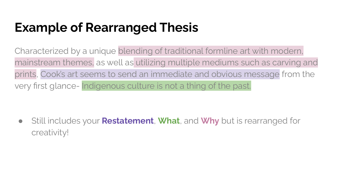### **Example of Rearranged Thesis**

Characterized by a unique blending of traditional formline art with modern, mainstream themes, as well as utilizing multiple mediums such as carving and prints, Cook's art seems to send an immediate and obvious message from the very first glance- Indigenous culture is not a thing of the past.

● Still includes your **Restatement**, **What**, and **Why** but is rearranged for creativity!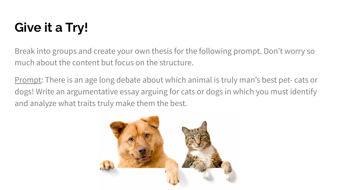### **Give it a Try!**

Break into groups and create your own thesis for the following prompt. Don't worry so much about the content but focus on the structure.

Prompt: There is an age long debate about which animal is truly man's best pet- cats or dogs! Write an argumentative essay arguing for cats or dogs in which you must identify and analyze what traits truly make them the best.